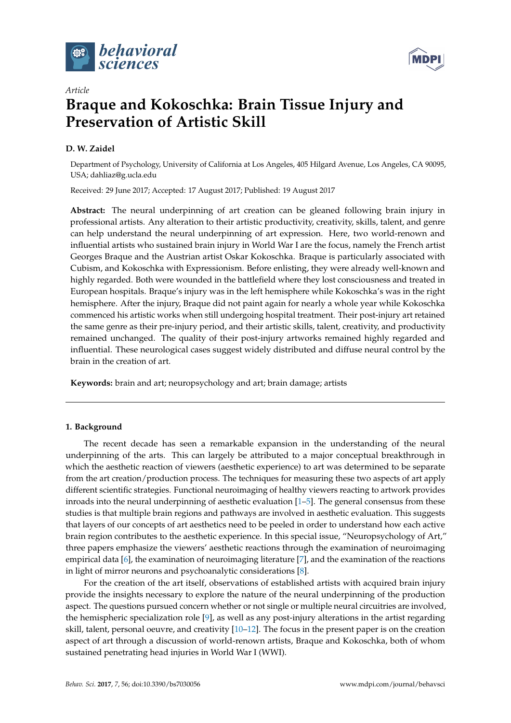



# **Braque and Kokoschka: Brain Tissue Injury and Preservation of Artistic Skill**

# **D. W. Zaidel**

*Article*

Department of Psychology, University of California at Los Angeles, 405 Hilgard Avenue, Los Angeles, CA 90095, USA; dahliaz@g.ucla.edu

Received: 29 June 2017; Accepted: 17 August 2017; Published: 19 August 2017

**Abstract:** The neural underpinning of art creation can be gleaned following brain injury in professional artists. Any alteration to their artistic productivity, creativity, skills, talent, and genre can help understand the neural underpinning of art expression. Here, two world-renown and influential artists who sustained brain injury in World War I are the focus, namely the French artist Georges Braque and the Austrian artist Oskar Kokoschka. Braque is particularly associated with Cubism, and Kokoschka with Expressionism. Before enlisting, they were already well-known and highly regarded. Both were wounded in the battlefield where they lost consciousness and treated in European hospitals. Braque's injury was in the left hemisphere while Kokoschka's was in the right hemisphere. After the injury, Braque did not paint again for nearly a whole year while Kokoschka commenced his artistic works when still undergoing hospital treatment. Their post-injury art retained the same genre as their pre-injury period, and their artistic skills, talent, creativity, and productivity remained unchanged. The quality of their post-injury artworks remained highly regarded and influential. These neurological cases suggest widely distributed and diffuse neural control by the brain in the creation of art.

**Keywords:** brain and art; neuropsychology and art; brain damage; artists

#### **1. Background**

The recent decade has seen a remarkable expansion in the understanding of the neural underpinning of the arts. This can largely be attributed to a major conceptual breakthrough in which the aesthetic reaction of viewers (aesthetic experience) to art was determined to be separate from the art creation/production process. The techniques for measuring these two aspects of art apply different scientific strategies. Functional neuroimaging of healthy viewers reacting to artwork provides inroads into the neural underpinning of aesthetic evaluation [\[1–](#page-5-0)[5\]](#page-5-1). The general consensus from these studies is that multiple brain regions and pathways are involved in aesthetic evaluation. This suggests that layers of our concepts of art aesthetics need to be peeled in order to understand how each active brain region contributes to the aesthetic experience. In this special issue, "Neuropsychology of Art," three papers emphasize the viewers' aesthetic reactions through the examination of neuroimaging empirical data [\[6\]](#page-5-2), the examination of neuroimaging literature [\[7\]](#page-5-3), and the examination of the reactions in light of mirror neurons and psychoanalytic considerations [\[8\]](#page-5-4).

For the creation of the art itself, observations of established artists with acquired brain injury provide the insights necessary to explore the nature of the neural underpinning of the production aspect. The questions pursued concern whether or not single or multiple neural circuitries are involved, the hemispheric specialization role [\[9\]](#page-5-5), as well as any post-injury alterations in the artist regarding skill, talent, personal oeuvre, and creativity [\[10](#page-5-6)[–12\]](#page-5-7). The focus in the present paper is on the creation aspect of art through a discussion of world-renown artists, Braque and Kokoschka, both of whom sustained penetrating head injuries in World War I (WWI).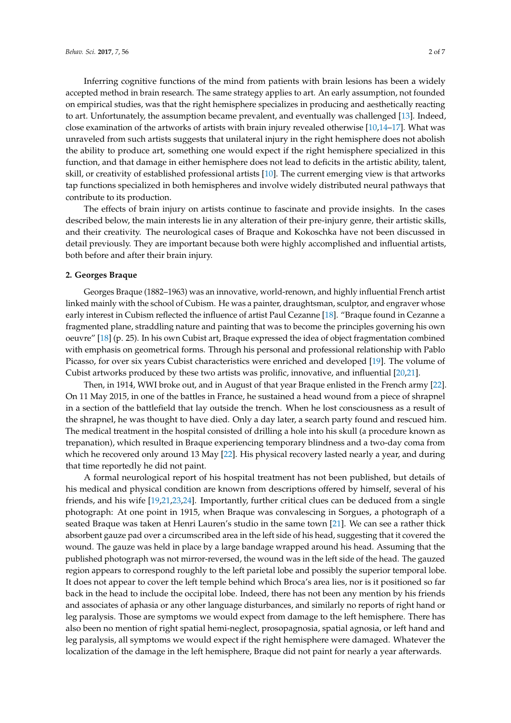Inferring cognitive functions of the mind from patients with brain lesions has been a widely accepted method in brain research. The same strategy applies to art. An early assumption, not founded on empirical studies, was that the right hemisphere specializes in producing and aesthetically reacting to art. Unfortunately, the assumption became prevalent, and eventually was challenged [\[13\]](#page-5-8). Indeed, close examination of the artworks of artists with brain injury revealed otherwise [\[10](#page-5-6)[,14–](#page-5-9)[17\]](#page-5-10). What was unraveled from such artists suggests that unilateral injury in the right hemisphere does not abolish the ability to produce art, something one would expect if the right hemisphere specialized in this function, and that damage in either hemisphere does not lead to deficits in the artistic ability, talent, skill, or creativity of established professional artists [\[10\]](#page-5-6). The current emerging view is that artworks tap functions specialized in both hemispheres and involve widely distributed neural pathways that contribute to its production.

The effects of brain injury on artists continue to fascinate and provide insights. In the cases described below, the main interests lie in any alteration of their pre-injury genre, their artistic skills, and their creativity. The neurological cases of Braque and Kokoschka have not been discussed in detail previously. They are important because both were highly accomplished and influential artists, both before and after their brain injury.

### **2. Georges Braque**

Georges Braque (1882–1963) was an innovative, world-renown, and highly influential French artist linked mainly with the school of Cubism. He was a painter, draughtsman, sculptor, and engraver whose early interest in Cubism reflected the influence of artist Paul Cezanne [\[18\]](#page-5-11). "Braque found in Cezanne a fragmented plane, straddling nature and painting that was to become the principles governing his own oeuvre" [\[18\]](#page-5-11) (p. 25). In his own Cubist art, Braque expressed the idea of object fragmentation combined with emphasis on geometrical forms. Through his personal and professional relationship with Pablo Picasso, for over six years Cubist characteristics were enriched and developed [\[19\]](#page-5-12). The volume of Cubist artworks produced by these two artists was prolific, innovative, and influential [\[20,](#page-5-13)[21\]](#page-5-14).

Then, in 1914, WWI broke out, and in August of that year Braque enlisted in the French army [\[22\]](#page-5-15). On 11 May 2015, in one of the battles in France, he sustained a head wound from a piece of shrapnel in a section of the battlefield that lay outside the trench. When he lost consciousness as a result of the shrapnel, he was thought to have died. Only a day later, a search party found and rescued him. The medical treatment in the hospital consisted of drilling a hole into his skull (a procedure known as trepanation), which resulted in Braque experiencing temporary blindness and a two-day coma from which he recovered only around 13 May [\[22\]](#page-5-15). His physical recovery lasted nearly a year, and during that time reportedly he did not paint.

A formal neurological report of his hospital treatment has not been published, but details of his medical and physical condition are known from descriptions offered by himself, several of his friends, and his wife [\[19](#page-5-12)[,21](#page-5-14)[,23](#page-5-16)[,24\]](#page-5-17). Importantly, further critical clues can be deduced from a single photograph: At one point in 1915, when Braque was convalescing in Sorgues, a photograph of a seated Braque was taken at Henri Lauren's studio in the same town [\[21\]](#page-5-14). We can see a rather thick absorbent gauze pad over a circumscribed area in the left side of his head, suggesting that it covered the wound. The gauze was held in place by a large bandage wrapped around his head. Assuming that the published photograph was not mirror-reversed, the wound was in the left side of the head. The gauzed region appears to correspond roughly to the left parietal lobe and possibly the superior temporal lobe. It does not appear to cover the left temple behind which Broca's area lies, nor is it positioned so far back in the head to include the occipital lobe. Indeed, there has not been any mention by his friends and associates of aphasia or any other language disturbances, and similarly no reports of right hand or leg paralysis. Those are symptoms we would expect from damage to the left hemisphere. There has also been no mention of right spatial hemi-neglect, prosopagnosia, spatial agnosia, or left hand and leg paralysis, all symptoms we would expect if the right hemisphere were damaged. Whatever the localization of the damage in the left hemisphere, Braque did not paint for nearly a year afterwards.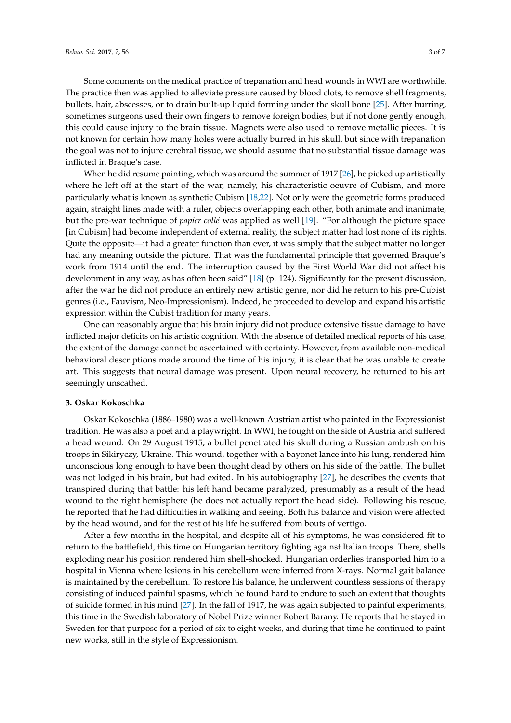Some comments on the medical practice of trepanation and head wounds in WWI are worthwhile. The practice then was applied to alleviate pressure caused by blood clots, to remove shell fragments, bullets, hair, abscesses, or to drain built-up liquid forming under the skull bone [\[25\]](#page-5-18). After burring, sometimes surgeons used their own fingers to remove foreign bodies, but if not done gently enough, this could cause injury to the brain tissue. Magnets were also used to remove metallic pieces. It is not known for certain how many holes were actually burred in his skull, but since with trepanation the goal was not to injure cerebral tissue, we should assume that no substantial tissue damage was inflicted in Braque's case.

When he did resume painting, which was around the summer of 1917 [\[26\]](#page-5-19), he picked up artistically where he left off at the start of the war, namely, his characteristic oeuvre of Cubism, and more particularly what is known as synthetic Cubism [\[18](#page-5-11)[,22\]](#page-5-15). Not only were the geometric forms produced again, straight lines made with a ruler, objects overlapping each other, both animate and inanimate, but the pre-war technique of *papier collé* was applied as well [\[19\]](#page-5-12). "For although the picture space [in Cubism] had become independent of external reality, the subject matter had lost none of its rights. Quite the opposite—it had a greater function than ever, it was simply that the subject matter no longer had any meaning outside the picture. That was the fundamental principle that governed Braque's work from 1914 until the end. The interruption caused by the First World War did not affect his development in any way, as has often been said" [\[18\]](#page-5-11) (p. 124). Significantly for the present discussion, after the war he did not produce an entirely new artistic genre, nor did he return to his pre-Cubist genres (i.e., Fauvism, Neo-Impressionism). Indeed, he proceeded to develop and expand his artistic expression within the Cubist tradition for many years.

One can reasonably argue that his brain injury did not produce extensive tissue damage to have inflicted major deficits on his artistic cognition. With the absence of detailed medical reports of his case, the extent of the damage cannot be ascertained with certainty. However, from available non-medical behavioral descriptions made around the time of his injury, it is clear that he was unable to create art. This suggests that neural damage was present. Upon neural recovery, he returned to his art seemingly unscathed.

#### **3. Oskar Kokoschka**

Oskar Kokoschka (1886–1980) was a well-known Austrian artist who painted in the Expressionist tradition. He was also a poet and a playwright. In WWI, he fought on the side of Austria and suffered a head wound. On 29 August 1915, a bullet penetrated his skull during a Russian ambush on his troops in Sikiryczy, Ukraine. This wound, together with a bayonet lance into his lung, rendered him unconscious long enough to have been thought dead by others on his side of the battle. The bullet was not lodged in his brain, but had exited. In his autobiography [\[27\]](#page-5-20), he describes the events that transpired during that battle: his left hand became paralyzed, presumably as a result of the head wound to the right hemisphere (he does not actually report the head side). Following his rescue, he reported that he had difficulties in walking and seeing. Both his balance and vision were affected by the head wound, and for the rest of his life he suffered from bouts of vertigo.

After a few months in the hospital, and despite all of his symptoms, he was considered fit to return to the battlefield, this time on Hungarian territory fighting against Italian troops. There, shells exploding near his position rendered him shell-shocked. Hungarian orderlies transported him to a hospital in Vienna where lesions in his cerebellum were inferred from X-rays. Normal gait balance is maintained by the cerebellum. To restore his balance, he underwent countless sessions of therapy consisting of induced painful spasms, which he found hard to endure to such an extent that thoughts of suicide formed in his mind [\[27\]](#page-5-20). In the fall of 1917, he was again subjected to painful experiments, this time in the Swedish laboratory of Nobel Prize winner Robert Barany. He reports that he stayed in Sweden for that purpose for a period of six to eight weeks, and during that time he continued to paint new works, still in the style of Expressionism.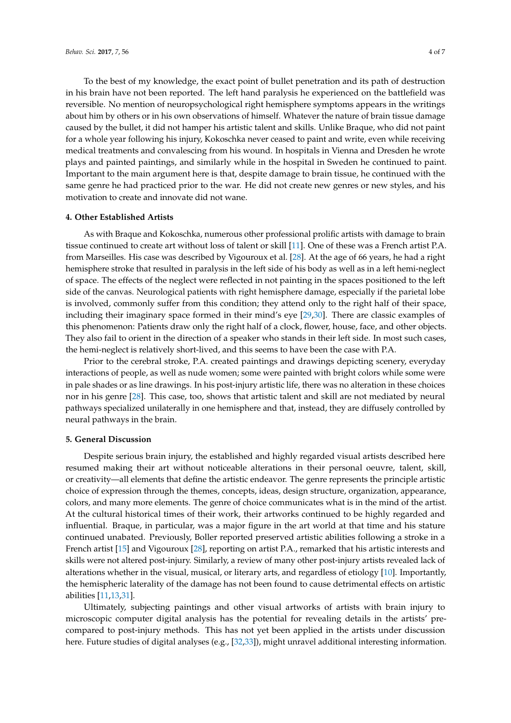To the best of my knowledge, the exact point of bullet penetration and its path of destruction in his brain have not been reported. The left hand paralysis he experienced on the battlefield was reversible. No mention of neuropsychological right hemisphere symptoms appears in the writings about him by others or in his own observations of himself. Whatever the nature of brain tissue damage caused by the bullet, it did not hamper his artistic talent and skills. Unlike Braque, who did not paint for a whole year following his injury, Kokoschka never ceased to paint and write, even while receiving medical treatments and convalescing from his wound. In hospitals in Vienna and Dresden he wrote plays and painted paintings, and similarly while in the hospital in Sweden he continued to paint. Important to the main argument here is that, despite damage to brain tissue, he continued with the same genre he had practiced prior to the war. He did not create new genres or new styles, and his motivation to create and innovate did not wane.

#### **4. Other Established Artists**

As with Braque and Kokoschka, numerous other professional prolific artists with damage to brain tissue continued to create art without loss of talent or skill [\[11\]](#page-5-21). One of these was a French artist P.A. from Marseilles. His case was described by Vigouroux et al. [\[28\]](#page-5-22). At the age of 66 years, he had a right hemisphere stroke that resulted in paralysis in the left side of his body as well as in a left hemi-neglect of space. The effects of the neglect were reflected in not painting in the spaces positioned to the left side of the canvas. Neurological patients with right hemisphere damage, especially if the parietal lobe is involved, commonly suffer from this condition; they attend only to the right half of their space, including their imaginary space formed in their mind's eye [\[29,](#page-5-23)[30\]](#page-5-24). There are classic examples of this phenomenon: Patients draw only the right half of a clock, flower, house, face, and other objects. They also fail to orient in the direction of a speaker who stands in their left side. In most such cases, the hemi-neglect is relatively short-lived, and this seems to have been the case with P.A.

Prior to the cerebral stroke, P.A. created paintings and drawings depicting scenery, everyday interactions of people, as well as nude women; some were painted with bright colors while some were in pale shades or as line drawings. In his post-injury artistic life, there was no alteration in these choices nor in his genre [\[28\]](#page-5-22). This case, too, shows that artistic talent and skill are not mediated by neural pathways specialized unilaterally in one hemisphere and that, instead, they are diffusely controlled by neural pathways in the brain.

#### **5. General Discussion**

Despite serious brain injury, the established and highly regarded visual artists described here resumed making their art without noticeable alterations in their personal oeuvre, talent, skill, or creativity—all elements that define the artistic endeavor. The genre represents the principle artistic choice of expression through the themes, concepts, ideas, design structure, organization, appearance, colors, and many more elements. The genre of choice communicates what is in the mind of the artist. At the cultural historical times of their work, their artworks continued to be highly regarded and influential. Braque, in particular, was a major figure in the art world at that time and his stature continued unabated. Previously, Boller reported preserved artistic abilities following a stroke in a French artist [\[15\]](#page-5-25) and Vigouroux [\[28\]](#page-5-22), reporting on artist P.A., remarked that his artistic interests and skills were not altered post-injury. Similarly, a review of many other post-injury artists revealed lack of alterations whether in the visual, musical, or literary arts, and regardless of etiology [\[10\]](#page-5-6). Importantly, the hemispheric laterality of the damage has not been found to cause detrimental effects on artistic abilities [\[11,](#page-5-21)[13,](#page-5-8)[31\]](#page-6-0).

Ultimately, subjecting paintings and other visual artworks of artists with brain injury to microscopic computer digital analysis has the potential for revealing details in the artists' precompared to post-injury methods. This has not yet been applied in the artists under discussion here. Future studies of digital analyses (e.g., [\[32](#page-6-1)[,33\]](#page-6-2)), might unravel additional interesting information.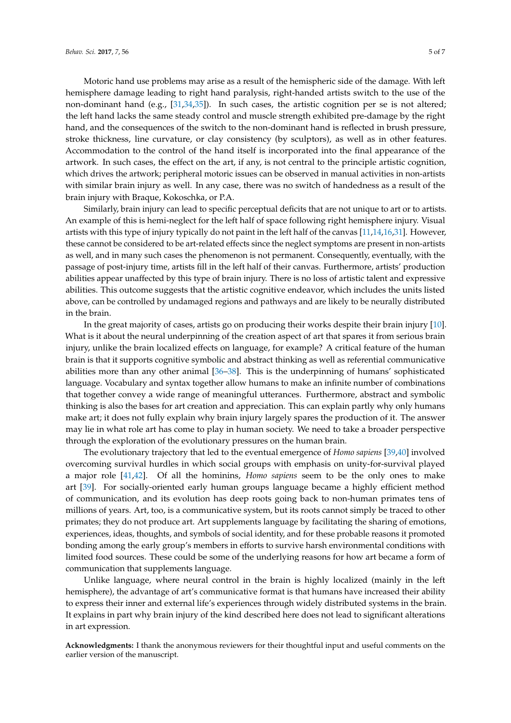Motoric hand use problems may arise as a result of the hemispheric side of the damage. With left hemisphere damage leading to right hand paralysis, right-handed artists switch to the use of the non-dominant hand (e.g., [\[31](#page-6-0)[,34](#page-6-3)[,35\]](#page-6-4)). In such cases, the artistic cognition per se is not altered; the left hand lacks the same steady control and muscle strength exhibited pre-damage by the right hand, and the consequences of the switch to the non-dominant hand is reflected in brush pressure, stroke thickness, line curvature, or clay consistency (by sculptors), as well as in other features. Accommodation to the control of the hand itself is incorporated into the final appearance of the artwork. In such cases, the effect on the art, if any, is not central to the principle artistic cognition, which drives the artwork; peripheral motoric issues can be observed in manual activities in non-artists with similar brain injury as well. In any case, there was no switch of handedness as a result of the brain injury with Braque, Kokoschka, or P.A.

Similarly, brain injury can lead to specific perceptual deficits that are not unique to art or to artists. An example of this is hemi-neglect for the left half of space following right hemisphere injury. Visual artists with this type of injury typically do not paint in the left half of the canvas [\[11,](#page-5-21)[14](#page-5-9)[,16](#page-5-26)[,31\]](#page-6-0). However, these cannot be considered to be art-related effects since the neglect symptoms are present in non-artists as well, and in many such cases the phenomenon is not permanent. Consequently, eventually, with the passage of post-injury time, artists fill in the left half of their canvas. Furthermore, artists' production abilities appear unaffected by this type of brain injury. There is no loss of artistic talent and expressive abilities. This outcome suggests that the artistic cognitive endeavor, which includes the units listed above, can be controlled by undamaged regions and pathways and are likely to be neurally distributed in the brain.

In the great majority of cases, artists go on producing their works despite their brain injury [\[10\]](#page-5-6). What is it about the neural underpinning of the creation aspect of art that spares it from serious brain injury, unlike the brain localized effects on language, for example? A critical feature of the human brain is that it supports cognitive symbolic and abstract thinking as well as referential communicative abilities more than any other animal [\[36](#page-6-5)[–38\]](#page-6-6). This is the underpinning of humans' sophisticated language. Vocabulary and syntax together allow humans to make an infinite number of combinations that together convey a wide range of meaningful utterances. Furthermore, abstract and symbolic thinking is also the bases for art creation and appreciation. This can explain partly why only humans make art; it does not fully explain why brain injury largely spares the production of it. The answer may lie in what role art has come to play in human society. We need to take a broader perspective through the exploration of the evolutionary pressures on the human brain.

The evolutionary trajectory that led to the eventual emergence of *Homo sapiens* [\[39](#page-6-7)[,40\]](#page-6-8) involved overcoming survival hurdles in which social groups with emphasis on unity-for-survival played a major role [\[41](#page-6-9)[,42\]](#page-6-10). Of all the hominins, *Homo sapiens* seem to be the only ones to make art [\[39\]](#page-6-7). For socially-oriented early human groups language became a highly efficient method of communication, and its evolution has deep roots going back to non-human primates tens of millions of years. Art, too, is a communicative system, but its roots cannot simply be traced to other primates; they do not produce art. Art supplements language by facilitating the sharing of emotions, experiences, ideas, thoughts, and symbols of social identity, and for these probable reasons it promoted bonding among the early group's members in efforts to survive harsh environmental conditions with limited food sources. These could be some of the underlying reasons for how art became a form of communication that supplements language.

Unlike language, where neural control in the brain is highly localized (mainly in the left hemisphere), the advantage of art's communicative format is that humans have increased their ability to express their inner and external life's experiences through widely distributed systems in the brain. It explains in part why brain injury of the kind described here does not lead to significant alterations in art expression.

**Acknowledgments:** I thank the anonymous reviewers for their thoughtful input and useful comments on the earlier version of the manuscript.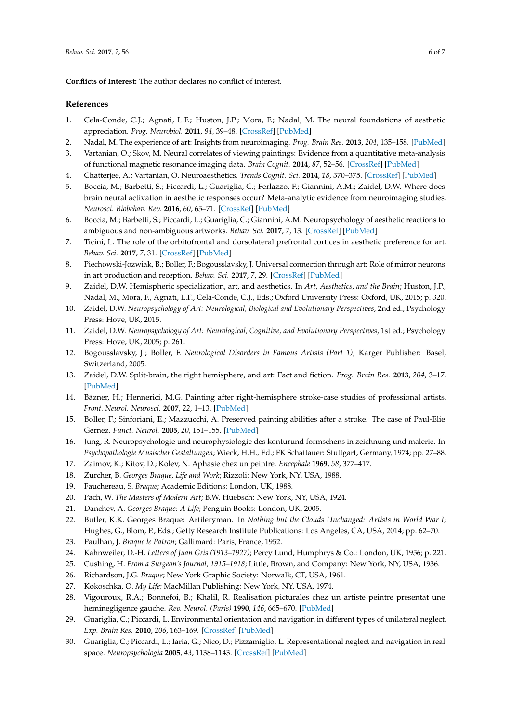**Conflicts of Interest:** The author declares no conflict of interest.

## **References**

- <span id="page-5-0"></span>1. Cela-Conde, C.J.; Agnati, L.F.; Huston, J.P.; Mora, F.; Nadal, M. The neural foundations of aesthetic appreciation. *Prog. Neurobiol.* **2011**, *94*, 39–48. [\[CrossRef\]](http://dx.doi.org/10.1016/j.pneurobio.2011.03.003) [\[PubMed\]](http://www.ncbi.nlm.nih.gov/pubmed/21421021)
- 2. Nadal, M. The experience of art: Insights from neuroimaging. *Prog. Brain Res.* **2013**, *204*, 135–158. [\[PubMed\]](http://www.ncbi.nlm.nih.gov/pubmed/24041322)
- 3. Vartanian, O.; Skov, M. Neural correlates of viewing paintings: Evidence from a quantitative meta-analysis of functional magnetic resonance imaging data. *Brain Cognit.* **2014**, *87*, 52–56. [\[CrossRef\]](http://dx.doi.org/10.1016/j.bandc.2014.03.004) [\[PubMed\]](http://www.ncbi.nlm.nih.gov/pubmed/24704947)
- 4. Chatterjee, A.; Vartanian, O. Neuroaesthetics. *Trends Cognit. Sci.* **2014**, *18*, 370–375. [\[CrossRef\]](http://dx.doi.org/10.1016/j.tics.2014.03.003) [\[PubMed\]](http://www.ncbi.nlm.nih.gov/pubmed/24768244)
- <span id="page-5-1"></span>5. Boccia, M.; Barbetti, S.; Piccardi, L.; Guariglia, C.; Ferlazzo, F.; Giannini, A.M.; Zaidel, D.W. Where does brain neural activation in aesthetic responses occur? Meta-analytic evidence from neuroimaging studies. *Neurosci. Biobehav. Rev.* **2016**, *60*, 65–71. [\[CrossRef\]](http://dx.doi.org/10.1016/j.neubiorev.2015.09.009) [\[PubMed\]](http://www.ncbi.nlm.nih.gov/pubmed/26619805)
- <span id="page-5-2"></span>6. Boccia, M.; Barbetti, S.; Piccardi, L.; Guariglia, C.; Giannini, A.M. Neuropsychology of aesthetic reactions to ambiguous and non-ambiguous artworks. *Behav. Sci.* **2017**, *7*, 13. [\[CrossRef\]](http://dx.doi.org/10.3390/bs7010013) [\[PubMed\]](http://www.ncbi.nlm.nih.gov/pubmed/28335460)
- <span id="page-5-3"></span>7. Ticini, L. The role of the orbitofrontal and dorsolateral prefrontal cortices in aesthetic preference for art. *Behav. Sci.* **2017**, *7*, 31. [\[CrossRef\]](http://dx.doi.org/10.3390/bs7020031) [\[PubMed\]](http://www.ncbi.nlm.nih.gov/pubmed/28492478)
- <span id="page-5-4"></span>8. Piechowski-Jozwiak, B.; Boller, F.; Bogousslavsky, J. Universal connection through art: Role of mirror neurons in art production and reception. *Behav. Sci.* **2017**, *7*, 29. [\[CrossRef\]](http://dx.doi.org/10.3390/bs7020029) [\[PubMed\]](http://www.ncbi.nlm.nih.gov/pubmed/28475130)
- <span id="page-5-5"></span>9. Zaidel, D.W. Hemispheric specialization, art, and aesthetics. In *Art, Aesthetics, and the Brain*; Huston, J.P., Nadal, M., Mora, F., Agnati, L.F., Cela-Conde, C.J., Eds.; Oxford University Press: Oxford, UK, 2015; p. 320.
- <span id="page-5-6"></span>10. Zaidel, D.W. *Neuropsychology of Art: Neurological, Biological and Evolutionary Perspectives*, 2nd ed.; Psychology Press: Hove, UK, 2015.
- <span id="page-5-21"></span>11. Zaidel, D.W. *Neuropsychology of Art: Neurological, Cognitive, and Evolutionary Perspectives*, 1st ed.; Psychology Press: Hove, UK, 2005; p. 261.
- <span id="page-5-7"></span>12. Bogousslavsky, J.; Boller, F. *Neurological Disorders in Famous Artists (Part 1)*; Karger Publisher: Basel, Switzerland, 2005.
- <span id="page-5-8"></span>13. Zaidel, D.W. Split-brain, the right hemisphere, and art: Fact and fiction. *Prog. Brain Res.* **2013**, *204*, 3–17. [\[PubMed\]](http://www.ncbi.nlm.nih.gov/pubmed/24041316)
- <span id="page-5-9"></span>14. Bäzner, H.; Hennerici, M.G. Painting after right-hemisphere stroke-case studies of professional artists. *Front. Neurol. Neurosci.* **2007**, *22*, 1–13. [\[PubMed\]](http://www.ncbi.nlm.nih.gov/pubmed/17495502)
- <span id="page-5-25"></span>15. Boller, F.; Sinforiani, E.; Mazzucchi, A. Preserved painting abilities after a stroke. The case of Paul-Elie Gernez. *Funct. Neurol.* **2005**, *20*, 151–155. [\[PubMed\]](http://www.ncbi.nlm.nih.gov/pubmed/16483452)
- <span id="page-5-26"></span>16. Jung, R. Neuropsychologie und neurophysiologie des konturund formschens in zeichnung und malerie. In *Psychopathologie Musischer Gestaltungen*; Wieck, H.H., Ed.; FK Schattauer: Stuttgart, Germany, 1974; pp. 27–88.
- <span id="page-5-10"></span>17. Zaimov, K.; Kitov, D.; Kolev, N. Aphasie chez un peintre. *Encephale* **1969**, *58*, 377–417.
- <span id="page-5-11"></span>18. Zurcher, B. *Georges Braque, Life and Work*; Rizzoli: New York, NY, USA, 1988.
- <span id="page-5-12"></span>19. Fauchereau, S. *Braque*; Academic Editions: London, UK, 1988.
- <span id="page-5-13"></span>20. Pach, W. *The Masters of Modern Art*; B.W. Huebsch: New York, NY, USA, 1924.
- <span id="page-5-14"></span>21. Danchev, A. *Georges Braque: A Life*; Penguin Books: London, UK, 2005.
- <span id="page-5-15"></span>22. Butler, K.K. Georges Braque: Artileryman. In *Nothing but the Clouds Unchanged: Artists in World War I*; Hughes, G., Blom, P., Eds.; Getty Research Institute Publications: Los Angeles, CA, USA, 2014; pp. 62–70.
- <span id="page-5-16"></span>23. Paulhan, J. *Braque le Patron*; Gallimard: Paris, France, 1952.
- <span id="page-5-17"></span>24. Kahnweiler, D.-H. *Letters of Juan Gris (1913–1927)*; Percy Lund, Humphrys & Co.: London, UK, 1956; p. 221.
- <span id="page-5-18"></span>25. Cushing, H. *From a Surgeon's Journal, 1915–1918*; Little, Brown, and Company: New York, NY, USA, 1936.
- <span id="page-5-19"></span>26. Richardson, J.G. *Braque*; New York Graphic Society: Norwalk, CT, USA, 1961.
- <span id="page-5-20"></span>27. Kokoschka, O. *My Life*; MacMillan Publishing: New York, NY, USA, 1974.
- <span id="page-5-22"></span>28. Vigouroux, R.A.; Bonnefoi, B.; Khalil, R. Realisation picturales chez un artiste peintre presentat une heminegligence gauche. *Rev. Neurol. (Paris)* **1990**, *146*, 665–670. [\[PubMed\]](http://www.ncbi.nlm.nih.gov/pubmed/2077615)
- <span id="page-5-23"></span>29. Guariglia, C.; Piccardi, L. Environmental orientation and navigation in different types of unilateral neglect. *Exp. Brain Res.* **2010**, *206*, 163–169. [\[CrossRef\]](http://dx.doi.org/10.1007/s00221-010-2310-7) [\[PubMed\]](http://www.ncbi.nlm.nih.gov/pubmed/20532488)
- <span id="page-5-24"></span>30. Guariglia, C.; Piccardi, L.; Iaria, G.; Nico, D.; Pizzamiglio, L. Representational neglect and navigation in real space. *Neuropsychologia* **2005**, *43*, 1138–1143. [\[CrossRef\]](http://dx.doi.org/10.1016/j.neuropsychologia.2004.11.021) [\[PubMed\]](http://www.ncbi.nlm.nih.gov/pubmed/15817171)